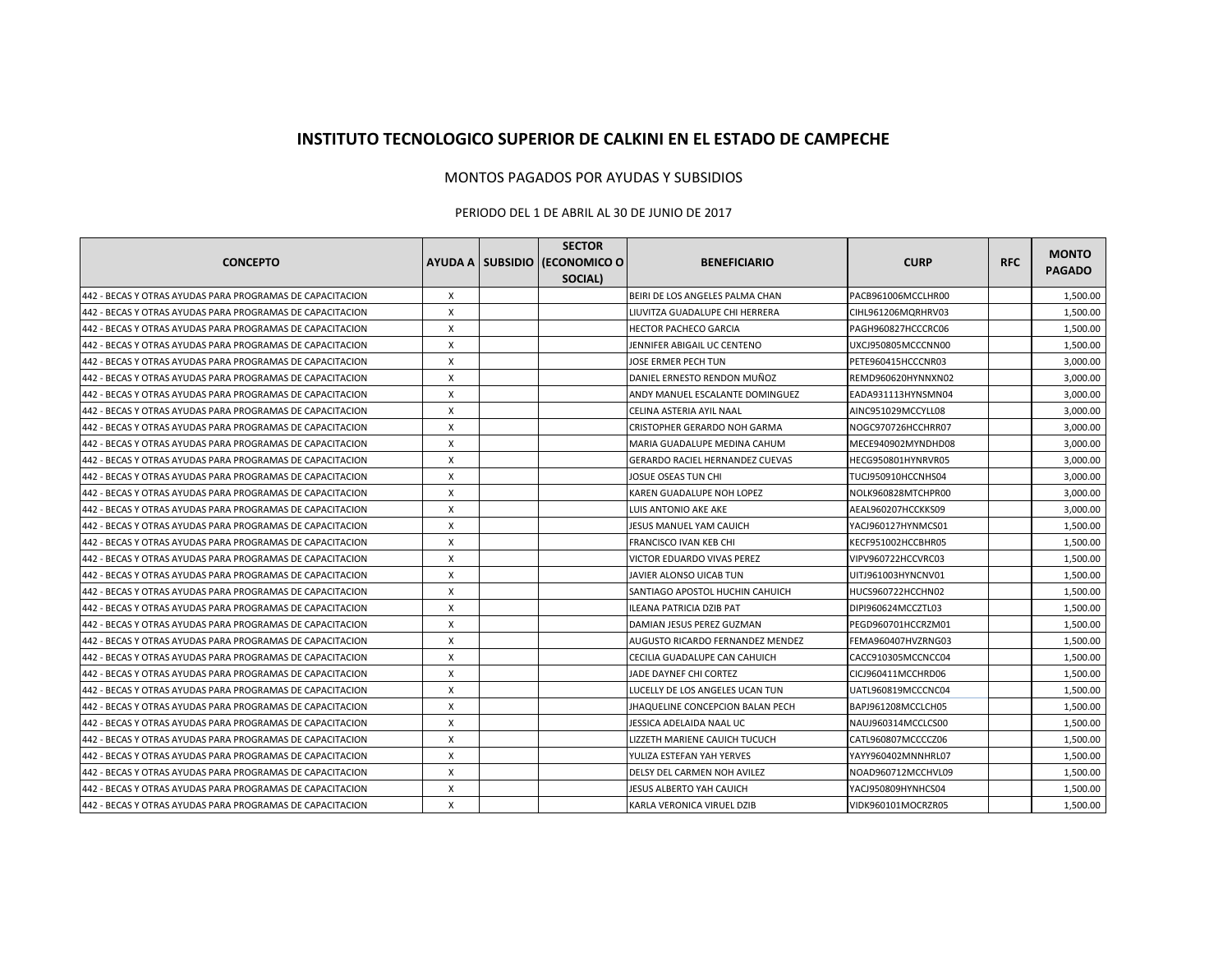## **INSTITUTO TECNOLOGICO SUPERIOR DE CALKINI EN EL ESTADO DE CAMPECHE**

## MONTOS PAGADOS POR AYUDAS Y SUBSIDIOS

## PERIODO DEL 1 DE ABRIL AL 30 DE JUNIO DE 2017

|                                                           |   | <b>SECTOR</b>                 |                                  |                    |            |                        |
|-----------------------------------------------------------|---|-------------------------------|----------------------------------|--------------------|------------|------------------------|
| <b>CONCEPTO</b>                                           |   | AYUDA A SUBSIDIO (ECONOMICO O | <b>BENEFICIARIO</b>              | <b>CURP</b>        | <b>RFC</b> | <b>MONTO</b><br>PAGADO |
|                                                           |   | <b>SOCIAL)</b>                |                                  |                    |            |                        |
| 442 - BECAS Y OTRAS AYUDAS PARA PROGRAMAS DE CAPACITACION | X |                               | BEIRI DE LOS ANGELES PALMA CHAN  | PACB961006MCCLHR00 |            | 1,500.00               |
| 442 - BECAS Y OTRAS AYUDAS PARA PROGRAMAS DE CAPACITACION | X |                               | LIUVITZA GUADALUPE CHI HERRERA   | CIHL961206MQRHRV03 |            | 1,500.00               |
| 442 - BECAS Y OTRAS AYUDAS PARA PROGRAMAS DE CAPACITACION | X |                               | <b>HECTOR PACHECO GARCIA</b>     | PAGH960827HCCCRC06 |            | 1,500.00               |
| 442 - BECAS Y OTRAS AYUDAS PARA PROGRAMAS DE CAPACITACION | X |                               | JENNIFER ABIGAIL UC CENTENO      | UXCJ950805MCCCNN00 |            | 1,500.00               |
| 442 - BECAS Y OTRAS AYUDAS PARA PROGRAMAS DE CAPACITACION | X |                               | JOSE ERMER PECH TUN              | PETE960415HCCCNR03 |            | 3,000.00               |
| 442 - BECAS Y OTRAS AYUDAS PARA PROGRAMAS DE CAPACITACION | X |                               | DANIEL ERNESTO RENDON MUÑOZ      | REMD960620HYNNXN02 |            | 3,000.00               |
| 442 - BECAS Y OTRAS AYUDAS PARA PROGRAMAS DE CAPACITACION | X |                               | ANDY MANUEL ESCALANTE DOMINGUEZ  | EADA931113HYNSMN04 |            | 3,000.00               |
| 442 - BECAS Y OTRAS AYUDAS PARA PROGRAMAS DE CAPACITACION | X |                               | CELINA ASTERIA AYIL NAAL         | AINC951029MCCYLL08 |            | 3,000.00               |
| 442 - BECAS Y OTRAS AYUDAS PARA PROGRAMAS DE CAPACITACION | X |                               | CRISTOPHER GERARDO NOH GARMA     | NOGC970726HCCHRR07 |            | 3,000.00               |
| 442 - BECAS Y OTRAS AYUDAS PARA PROGRAMAS DE CAPACITACION | X |                               | MARIA GUADALUPE MEDINA CAHUM     | MECE940902MYNDHD08 |            | 3,000.00               |
| 442 - BECAS Y OTRAS AYUDAS PARA PROGRAMAS DE CAPACITACION | X |                               | GERARDO RACIEL HERNANDEZ CUEVAS  | HECG950801HYNRVR05 |            | 3,000.00               |
| 442 - BECAS Y OTRAS AYUDAS PARA PROGRAMAS DE CAPACITACION | X |                               | JOSUE OSEAS TUN CHI              | TUCJ950910HCCNHS04 |            | 3,000.00               |
| 442 - BECAS Y OTRAS AYUDAS PARA PROGRAMAS DE CAPACITACION | X |                               | KAREN GUADALUPE NOH LOPEZ        | NOLK960828MTCHPR00 |            | 3,000.00               |
| 442 - BECAS Y OTRAS AYUDAS PARA PROGRAMAS DE CAPACITACION | X |                               | LUIS ANTONIO AKE AKE             | AEAL960207HCCKKS09 |            | 3,000.00               |
| 442 - BECAS Y OTRAS AYUDAS PARA PROGRAMAS DE CAPACITACION | X |                               | <b>JESUS MANUEL YAM CAUICH</b>   | YACJ960127HYNMCS01 |            | 1,500.00               |
| 442 - BECAS Y OTRAS AYUDAS PARA PROGRAMAS DE CAPACITACION | X |                               | FRANCISCO IVAN KEB CHI           | KECF951002HCCBHR05 |            | 1,500.00               |
| 442 - BECAS Y OTRAS AYUDAS PARA PROGRAMAS DE CAPACITACION | X |                               | VICTOR EDUARDO VIVAS PEREZ       | VIPV960722HCCVRC03 |            | 1,500.00               |
| 442 - BECAS Y OTRAS AYUDAS PARA PROGRAMAS DE CAPACITACION | X |                               | JAVIER ALONSO UICAB TUN          | UITJ961003HYNCNV01 |            | 1,500.00               |
| 442 - BECAS Y OTRAS AYUDAS PARA PROGRAMAS DE CAPACITACION | X |                               | SANTIAGO APOSTOL HUCHIN CAHUICH  | HUCS960722HCCHN02  |            | 1,500.00               |
| 442 - BECAS Y OTRAS AYUDAS PARA PROGRAMAS DE CAPACITACION | X |                               | ILEANA PATRICIA DZIB PAT         | DIPI960624MCCZTL03 |            | 1,500.00               |
| 442 - BECAS Y OTRAS AYUDAS PARA PROGRAMAS DE CAPACITACION | X |                               | DAMIAN JESUS PEREZ GUZMAN        | PEGD960701HCCRZM01 |            | 1,500.00               |
| 442 - BECAS Y OTRAS AYUDAS PARA PROGRAMAS DE CAPACITACION | X |                               | AUGUSTO RICARDO FERNANDEZ MENDEZ | FEMA960407HVZRNG03 |            | 1,500.00               |
| 442 - BECAS Y OTRAS AYUDAS PARA PROGRAMAS DE CAPACITACION | X |                               | CECILIA GUADALUPE CAN CAHUICH    | CACC910305MCCNCC04 |            | 1,500.00               |
| 442 - BECAS Y OTRAS AYUDAS PARA PROGRAMAS DE CAPACITACION | X |                               | JADE DAYNEF CHI CORTEZ           | CICJ960411MCCHRD06 |            | 1,500.00               |
| 442 - BECAS Y OTRAS AYUDAS PARA PROGRAMAS DE CAPACITACION | X |                               | LUCELLY DE LOS ANGELES UCAN TUN  | UATL960819MCCCNC04 |            | 1,500.00               |
| 442 - BECAS Y OTRAS AYUDAS PARA PROGRAMAS DE CAPACITACION | X |                               | JHAQUELINE CONCEPCION BALAN PECH | BAPJ961208MCCLCH05 |            | 1,500.00               |
| 442 - BECAS Y OTRAS AYUDAS PARA PROGRAMAS DE CAPACITACION | X |                               | JESSICA ADELAIDA NAAL UC         | NAUJ960314MCCLCS00 |            | 1,500.00               |
| 442 - BECAS Y OTRAS AYUDAS PARA PROGRAMAS DE CAPACITACION | X |                               | LIZZETH MARIENE CAUICH TUCUCH    | CATL960807MCCCCZ06 |            | 1,500.00               |
| 442 - BECAS Y OTRAS AYUDAS PARA PROGRAMAS DE CAPACITACION | X |                               | YULIZA ESTEFAN YAH YERVES        | YAYY960402MNNHRL07 |            | 1,500.00               |
| 442 - BECAS Y OTRAS AYUDAS PARA PROGRAMAS DE CAPACITACION | X |                               | DELSY DEL CARMEN NOH AVILEZ      | NOAD960712MCCHVL09 |            | 1,500.00               |
| 442 - BECAS Y OTRAS AYUDAS PARA PROGRAMAS DE CAPACITACION | X |                               | <b>JESUS ALBERTO YAH CAUICH</b>  | YACJ950809HYNHCS04 |            | 1,500.00               |
| 442 - BECAS Y OTRAS AYUDAS PARA PROGRAMAS DE CAPACITACION | X |                               | KARLA VERONICA VIRUEL DZIB       | VIDK960101MOCRZR05 |            | 1,500.00               |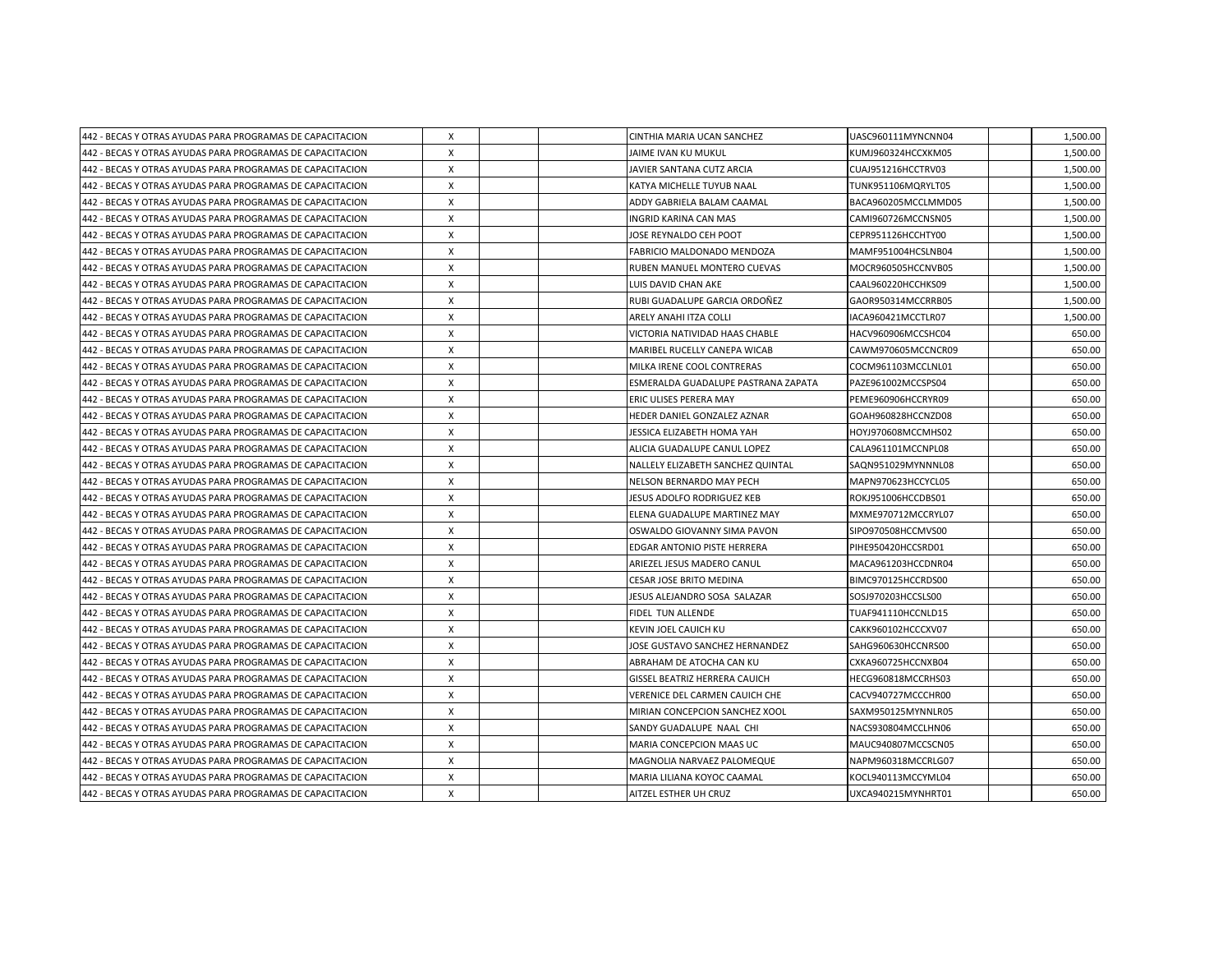| 442 - BECAS Y OTRAS AYUDAS PARA PROGRAMAS DE CAPACITACION | X            |  | CINTHIA MARIA UCAN SANCHEZ          | UASC960111MYNCNN04  | 1,500.00 |
|-----------------------------------------------------------|--------------|--|-------------------------------------|---------------------|----------|
| 442 - BECAS Y OTRAS AYUDAS PARA PROGRAMAS DE CAPACITACION | X            |  | JAIME IVAN KU MUKUL                 | KUMJ960324HCCXKM05  | 1,500.00 |
| 442 - BECAS Y OTRAS AYUDAS PARA PROGRAMAS DE CAPACITACION | X            |  | JAVIER SANTANA CUTZ ARCIA           | CUAJ951216HCCTRV03  | 1,500.00 |
| 442 - BECAS Y OTRAS AYUDAS PARA PROGRAMAS DE CAPACITACION | X            |  | KATYA MICHELLE TUYUB NAAL           | TUNK951106MQRYLT05  | 1,500.00 |
| 442 - BECAS Y OTRAS AYUDAS PARA PROGRAMAS DE CAPACITACION | X            |  | ADDY GABRIELA BALAM CAAMAL          | BACA960205MCCLMMD05 | 1,500.00 |
| 442 - BECAS Y OTRAS AYUDAS PARA PROGRAMAS DE CAPACITACION | X            |  | INGRID KARINA CAN MAS               | CAMI960726MCCNSN05  | 1,500.00 |
| 442 - BECAS Y OTRAS AYUDAS PARA PROGRAMAS DE CAPACITACION | x            |  | JOSE REYNALDO CEH POOT              | CEPR951126HCCHTY00  | 1,500.00 |
| 442 - BECAS Y OTRAS AYUDAS PARA PROGRAMAS DE CAPACITACION | X            |  | <b>FABRICIO MALDONADO MENDOZA</b>   | MAMF951004HCSLNB04  | 1,500.00 |
| 442 - BECAS Y OTRAS AYUDAS PARA PROGRAMAS DE CAPACITACION | X            |  | RUBEN MANUEL MONTERO CUEVAS         | MOCR960505HCCNVB05  | 1,500.00 |
| 442 - BECAS Y OTRAS AYUDAS PARA PROGRAMAS DE CAPACITACION | X            |  | LUIS DAVID CHAN AKE                 | CAAL960220HCCHKS09  | 1,500.00 |
| 442 - BECAS Y OTRAS AYUDAS PARA PROGRAMAS DE CAPACITACION | X            |  | RUBI GUADALUPE GARCIA ORDOÑEZ       | GAOR950314MCCRRB05  | 1,500.00 |
| 442 - BECAS Y OTRAS AYUDAS PARA PROGRAMAS DE CAPACITACION | X            |  | ARELY ANAHI ITZA COLLI              | IACA960421MCCTLR07  | 1,500.00 |
| 442 - BECAS Y OTRAS AYUDAS PARA PROGRAMAS DE CAPACITACION | X            |  | VICTORIA NATIVIDAD HAAS CHABLE      | HACV960906MCCSHC04  | 650.00   |
| 442 - BECAS Y OTRAS AYUDAS PARA PROGRAMAS DE CAPACITACION | X            |  | MARIBEL RUCELLY CANEPA WICAB        | CAWM970605MCCNCR09  | 650.00   |
| 442 - BECAS Y OTRAS AYUDAS PARA PROGRAMAS DE CAPACITACION | X            |  | MILKA IRENE COOL CONTRERAS          | COCM961103MCCLNL01  | 650.00   |
| 442 - BECAS Y OTRAS AYUDAS PARA PROGRAMAS DE CAPACITACION | x            |  | ESMERALDA GUADALUPE PASTRANA ZAPATA | PAZE961002MCCSPS04  | 650.00   |
| 442 - BECAS Y OTRAS AYUDAS PARA PROGRAMAS DE CAPACITACION | Χ            |  | ERIC ULISES PERERA MAY              | PEME960906HCCRYR09  | 650.00   |
| 442 - BECAS Y OTRAS AYUDAS PARA PROGRAMAS DE CAPACITACION | X            |  | HEDER DANIEL GONZALEZ AZNAR         | GOAH960828HCCNZD08  | 650.00   |
| 442 - BECAS Y OTRAS AYUDAS PARA PROGRAMAS DE CAPACITACION | X            |  | JESSICA ELIZABETH HOMA YAH          | HOYJ970608MCCMHS02  | 650.00   |
| 442 - BECAS Y OTRAS AYUDAS PARA PROGRAMAS DE CAPACITACION | X            |  | ALICIA GUADALUPE CANUL LOPEZ        | CALA961101MCCNPL08  | 650.00   |
| 442 - BECAS Y OTRAS AYUDAS PARA PROGRAMAS DE CAPACITACION | X            |  | NALLELY ELIZABETH SANCHEZ QUINTAL   | SAQN951029MYNNNL08  | 650.00   |
| 442 - BECAS Y OTRAS AYUDAS PARA PROGRAMAS DE CAPACITACION | X            |  | NELSON BERNARDO MAY PECH            | MAPN970623HCCYCL05  | 650.00   |
| 442 - BECAS Y OTRAS AYUDAS PARA PROGRAMAS DE CAPACITACION | Χ            |  | JESUS ADOLFO RODRIGUEZ KEB          | ROKJ951006HCCDBS01  | 650.00   |
| 442 - BECAS Y OTRAS AYUDAS PARA PROGRAMAS DE CAPACITACION | X            |  | ELENA GUADALUPE MARTINEZ MAY        | MXME970712MCCRYL07  | 650.00   |
| 442 - BECAS Y OTRAS AYUDAS PARA PROGRAMAS DE CAPACITACION | $\mathsf{x}$ |  | OSWALDO GIOVANNY SIMA PAVON         | SIPO970508HCCMVS00  | 650.00   |
| 442 - BECAS Y OTRAS AYUDAS PARA PROGRAMAS DE CAPACITACION | X            |  | EDGAR ANTONIO PISTE HERRERA         | PIHE950420HCCSRD01  | 650.00   |
| 442 - BECAS Y OTRAS AYUDAS PARA PROGRAMAS DE CAPACITACION | X            |  | ARIEZEL JESUS MADERO CANUL          | MACA961203HCCDNR04  | 650.00   |
| 442 - BECAS Y OTRAS AYUDAS PARA PROGRAMAS DE CAPACITACION | X            |  | <b>CESAR JOSE BRITO MEDINA</b>      | BIMC970125HCCRDS00  | 650.00   |
| 442 - BECAS Y OTRAS AYUDAS PARA PROGRAMAS DE CAPACITACION | X            |  | JESUS ALEJANDRO SOSA SALAZAR        | SOSJ970203HCCSLS00  | 650.00   |
| 442 - BECAS Y OTRAS AYUDAS PARA PROGRAMAS DE CAPACITACION | Χ            |  | <b>FIDEL TUN ALLENDE</b>            | TUAF941110HCCNLD15  | 650.00   |
| 442 - BECAS Y OTRAS AYUDAS PARA PROGRAMAS DE CAPACITACION | X            |  | <b>KEVIN JOEL CAUICH KU</b>         | CAKK960102HCCCXV07  | 650.00   |
| 442 - BECAS Y OTRAS AYUDAS PARA PROGRAMAS DE CAPACITACION | X            |  | JOSE GUSTAVO SANCHEZ HERNANDEZ      | SAHG960630HCCNRS00  | 650.00   |
| 442 - BECAS Y OTRAS AYUDAS PARA PROGRAMAS DE CAPACITACION | X            |  | ABRAHAM DE ATOCHA CAN KU            | CXKA960725HCCNXB04  | 650.00   |
| 442 - BECAS Y OTRAS AYUDAS PARA PROGRAMAS DE CAPACITACION | X            |  | GISSEL BEATRIZ HERRERA CAUICH       | HECG960818MCCRHS03  | 650.00   |
| 442 - BECAS Y OTRAS AYUDAS PARA PROGRAMAS DE CAPACITACION | X            |  | VERENICE DEL CARMEN CAUICH CHE      | CACV940727MCCCHR00  | 650.00   |
| 442 - BECAS Y OTRAS AYUDAS PARA PROGRAMAS DE CAPACITACION | X            |  | MIRIAN CONCEPCION SANCHEZ XOOL      | SAXM950125MYNNLR05  | 650.00   |
| 442 - BECAS Y OTRAS AYUDAS PARA PROGRAMAS DE CAPACITACION | X            |  | SANDY GUADALUPE NAAL CHI            | NACS930804MCCLHN06  | 650.00   |
| 442 - BECAS Y OTRAS AYUDAS PARA PROGRAMAS DE CAPACITACION | X            |  | MARIA CONCEPCION MAAS UC            | MAUC940807MCCSCN05  | 650.00   |
| 442 - BECAS Y OTRAS AYUDAS PARA PROGRAMAS DE CAPACITACION | x            |  | MAGNOLIA NARVAEZ PALOMEQUE          | NAPM960318MCCRLG07  | 650.00   |
| 442 - BECAS Y OTRAS AYUDAS PARA PROGRAMAS DE CAPACITACION | X            |  | MARIA LILIANA KOYOC CAAMAL          | KOCL940113MCCYML04  | 650.00   |
| 442 - BECAS Y OTRAS AYUDAS PARA PROGRAMAS DE CAPACITACION | $\mathsf{x}$ |  | AITZEL ESTHER UH CRUZ               | UXCA940215MYNHRT01  | 650.00   |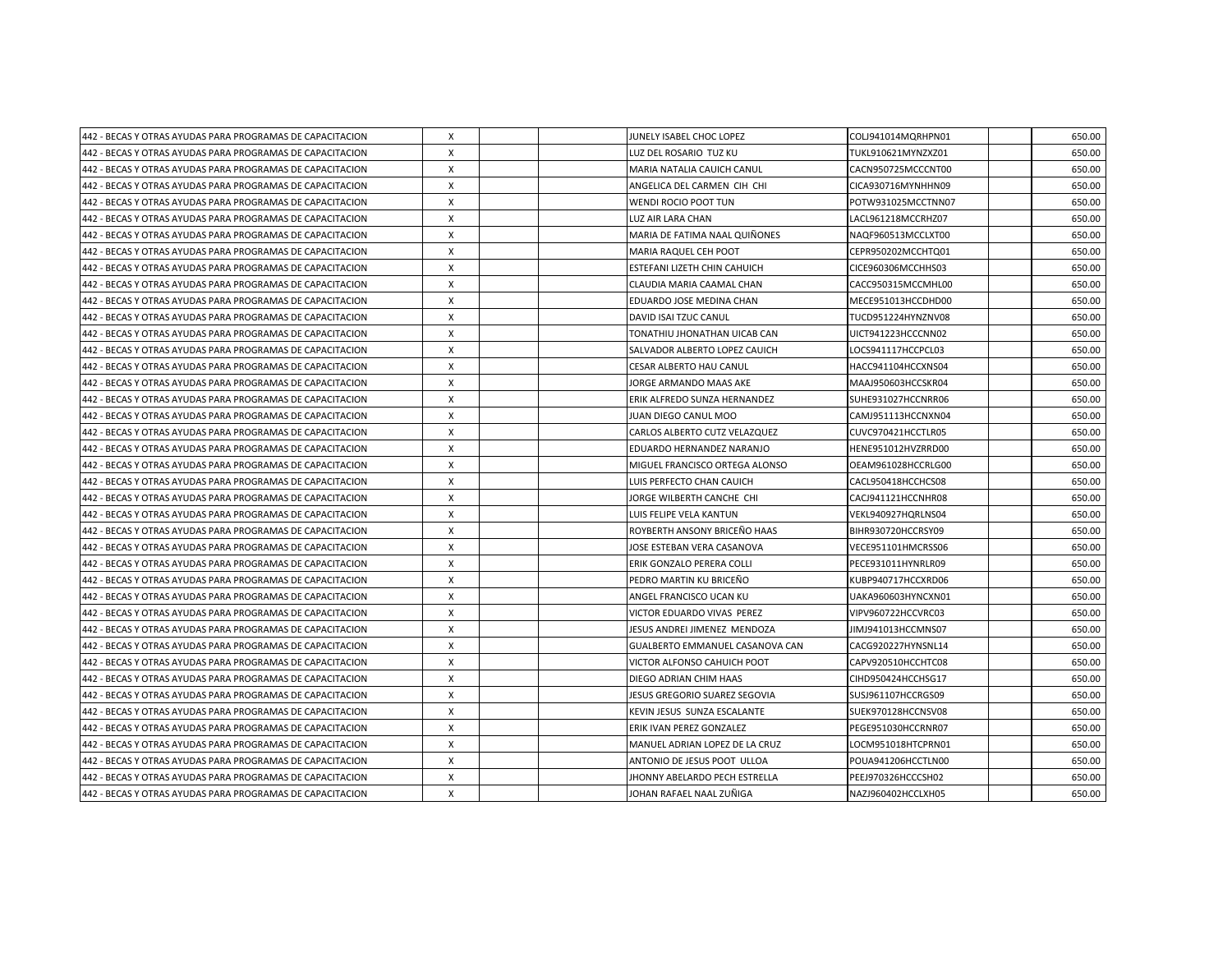| 442 - BECAS Y OTRAS AYUDAS PARA PROGRAMAS DE CAPACITACION | Χ            |  | JUNELY ISABEL CHOC LOPEZ        | COLJ941014MQRHPN01 | 650.00 |
|-----------------------------------------------------------|--------------|--|---------------------------------|--------------------|--------|
| 442 - BECAS Y OTRAS AYUDAS PARA PROGRAMAS DE CAPACITACION | X            |  | LUZ DEL ROSARIO TUZ KU          | TUKL910621MYNZXZ01 | 650.00 |
| 442 - BECAS Y OTRAS AYUDAS PARA PROGRAMAS DE CAPACITACION | X            |  | MARIA NATALIA CAUICH CANUL      | CACN950725MCCCNT00 | 650.00 |
| 442 - BECAS Y OTRAS AYUDAS PARA PROGRAMAS DE CAPACITACION | X            |  | ANGELICA DEL CARMEN CIH CHI     | CICA930716MYNHHN09 | 650.00 |
| 442 - BECAS Y OTRAS AYUDAS PARA PROGRAMAS DE CAPACITACION | X            |  | <b>WENDI ROCIO POOT TUN</b>     | POTW931025MCCTNN07 | 650.00 |
| 442 - BECAS Y OTRAS AYUDAS PARA PROGRAMAS DE CAPACITACION | X            |  | LUZ AIR LARA CHAN               | LACL961218MCCRHZ07 | 650.00 |
| 442 - BECAS Y OTRAS AYUDAS PARA PROGRAMAS DE CAPACITACION | X            |  | MARIA DE FATIMA NAAL QUIÑONES   | NAQF960513MCCLXT00 | 650.00 |
| 442 - BECAS Y OTRAS AYUDAS PARA PROGRAMAS DE CAPACITACION | X            |  | MARIA RAQUEL CEH POOT           | CEPR950202MCCHTQ01 | 650.00 |
| 442 - BECAS Y OTRAS AYUDAS PARA PROGRAMAS DE CAPACITACION | X            |  | ESTEFANI LIZETH CHIN CAHUICH    | CICE960306MCCHHS03 | 650.00 |
| 442 - BECAS Y OTRAS AYUDAS PARA PROGRAMAS DE CAPACITACION | X            |  | CLAUDIA MARIA CAAMAL CHAN       | CACC950315MCCMHL00 | 650.00 |
| 442 - BECAS Y OTRAS AYUDAS PARA PROGRAMAS DE CAPACITACION | X            |  | EDUARDO JOSE MEDINA CHAN        | MECE951013HCCDHD00 | 650.00 |
| 442 - BECAS Y OTRAS AYUDAS PARA PROGRAMAS DE CAPACITACION | X            |  | DAVID ISAI TZUC CANUL           | TUCD951224HYNZNV08 | 650.00 |
| 442 - BECAS Y OTRAS AYUDAS PARA PROGRAMAS DE CAPACITACION | x            |  | TONATHIU JHONATHAN UICAB CAN    | UICT941223HCCCNN02 | 650.00 |
| 442 - BECAS Y OTRAS AYUDAS PARA PROGRAMAS DE CAPACITACION | X            |  | SALVADOR ALBERTO LOPEZ CAUICH   | LOCS941117HCCPCL03 | 650.00 |
| 442 - BECAS Y OTRAS AYUDAS PARA PROGRAMAS DE CAPACITACION | X            |  | <b>CESAR ALBERTO HAU CANUL</b>  | HACC941104HCCXNS04 | 650.00 |
| 442 - BECAS Y OTRAS AYUDAS PARA PROGRAMAS DE CAPACITACION | x            |  | JORGE ARMANDO MAAS AKE          | MAAJ950603HCCSKR04 | 650.00 |
| 442 - BECAS Y OTRAS AYUDAS PARA PROGRAMAS DE CAPACITACION | X            |  | ERIK ALFREDO SUNZA HERNANDEZ    | SUHE931027HCCNRR06 | 650.00 |
| 442 - BECAS Y OTRAS AYUDAS PARA PROGRAMAS DE CAPACITACION | X            |  | JUAN DIEGO CANUL MOO            | CAMJ951113HCCNXN04 | 650.00 |
| 442 - BECAS Y OTRAS AYUDAS PARA PROGRAMAS DE CAPACITACION | X            |  | CARLOS ALBERTO CUTZ VELAZQUEZ   | CUVC970421HCCTLR05 | 650.00 |
| 442 - BECAS Y OTRAS AYUDAS PARA PROGRAMAS DE CAPACITACION | X            |  | EDUARDO HERNANDEZ NARANJO       | HENE951012HVZRRD00 | 650.00 |
| 442 - BECAS Y OTRAS AYUDAS PARA PROGRAMAS DE CAPACITACION | X            |  | MIGUEL FRANCISCO ORTEGA ALONSO  | OEAM961028HCCRLG00 | 650.00 |
| 442 - BECAS Y OTRAS AYUDAS PARA PROGRAMAS DE CAPACITACION | X            |  | LUIS PERFECTO CHAN CAUICH       | CACL950418HCCHCS08 | 650.00 |
| 442 - BECAS Y OTRAS AYUDAS PARA PROGRAMAS DE CAPACITACION | X            |  | JORGE WILBERTH CANCHE CHI       | CACJ941121HCCNHR08 | 650.00 |
| 442 - BECAS Y OTRAS AYUDAS PARA PROGRAMAS DE CAPACITACION | X            |  | LUIS FELIPE VELA KANTUN         | VEKL940927HQRLNS04 | 650.00 |
| 442 - BECAS Y OTRAS AYUDAS PARA PROGRAMAS DE CAPACITACION | X            |  | ROYBERTH ANSONY BRICEÑO HAAS    | BIHR930720HCCRSY09 | 650.00 |
| 442 - BECAS Y OTRAS AYUDAS PARA PROGRAMAS DE CAPACITACION | X            |  | JOSE ESTEBAN VERA CASANOVA      | VECE951101HMCRSS06 | 650.00 |
| 442 - BECAS Y OTRAS AYUDAS PARA PROGRAMAS DE CAPACITACION | X            |  | ERIK GONZALO PERERA COLLI       | PECE931011HYNRLR09 | 650.00 |
| 442 - BECAS Y OTRAS AYUDAS PARA PROGRAMAS DE CAPACITACION | X            |  | PEDRO MARTIN KU BRICEÑO         | KUBP940717HCCXRD06 | 650.00 |
| 442 - BECAS Y OTRAS AYUDAS PARA PROGRAMAS DE CAPACITACION | Χ            |  | ANGEL FRANCISCO UCAN KU         | UAKA960603HYNCXN01 | 650.00 |
| 442 - BECAS Y OTRAS AYUDAS PARA PROGRAMAS DE CAPACITACION | X            |  | VICTOR EDUARDO VIVAS PEREZ      | VIPV960722HCCVRC03 | 650.00 |
| 442 - BECAS Y OTRAS AYUDAS PARA PROGRAMAS DE CAPACITACION | X            |  | JESUS ANDREI JIMENEZ MENDOZA    | JIMJ941013HCCMNS07 | 650.00 |
| 442 - BECAS Y OTRAS AYUDAS PARA PROGRAMAS DE CAPACITACION | X            |  | GUALBERTO EMMANUEL CASANOVA CAN | CACG920227HYNSNL14 | 650.00 |
| 442 - BECAS Y OTRAS AYUDAS PARA PROGRAMAS DE CAPACITACION | X            |  | VICTOR ALFONSO CAHUICH POOT     | CAPV920510HCCHTC08 | 650.00 |
| 442 - BECAS Y OTRAS AYUDAS PARA PROGRAMAS DE CAPACITACION | X            |  | DIEGO ADRIAN CHIM HAAS          | CIHD950424HCCHSG17 | 650.00 |
| 442 - BECAS Y OTRAS AYUDAS PARA PROGRAMAS DE CAPACITACION | X            |  | JESUS GREGORIO SUAREZ SEGOVIA   | SUSJ961107HCCRGS09 | 650.00 |
| 442 - BECAS Y OTRAS AYUDAS PARA PROGRAMAS DE CAPACITACION | X            |  | KEVIN JESUS SUNZA ESCALANTE     | SUEK970128HCCNSV08 | 650.00 |
| 442 - BECAS Y OTRAS AYUDAS PARA PROGRAMAS DE CAPACITACION | X            |  | ERIK IVAN PEREZ GONZALEZ        | PEGE951030HCCRNR07 | 650.00 |
| 442 - BECAS Y OTRAS AYUDAS PARA PROGRAMAS DE CAPACITACION | X            |  | MANUEL ADRIAN LOPEZ DE LA CRUZ  | LOCM951018HTCPRN01 | 650.00 |
| 442 - BECAS Y OTRAS AYUDAS PARA PROGRAMAS DE CAPACITACION | x            |  | ANTONIO DE JESUS POOT ULLOA     | POUA941206HCCTLN00 | 650.00 |
| 442 - BECAS Y OTRAS AYUDAS PARA PROGRAMAS DE CAPACITACION | X            |  | JHONNY ABELARDO PECH ESTRELLA   | PEEJ970326HCCCSH02 | 650.00 |
| 442 - BECAS Y OTRAS AYUDAS PARA PROGRAMAS DE CAPACITACION | $\mathsf{x}$ |  | JOHAN RAFAEL NAAL ZUÑIGA        | NAZJ960402HCCLXH05 | 650.00 |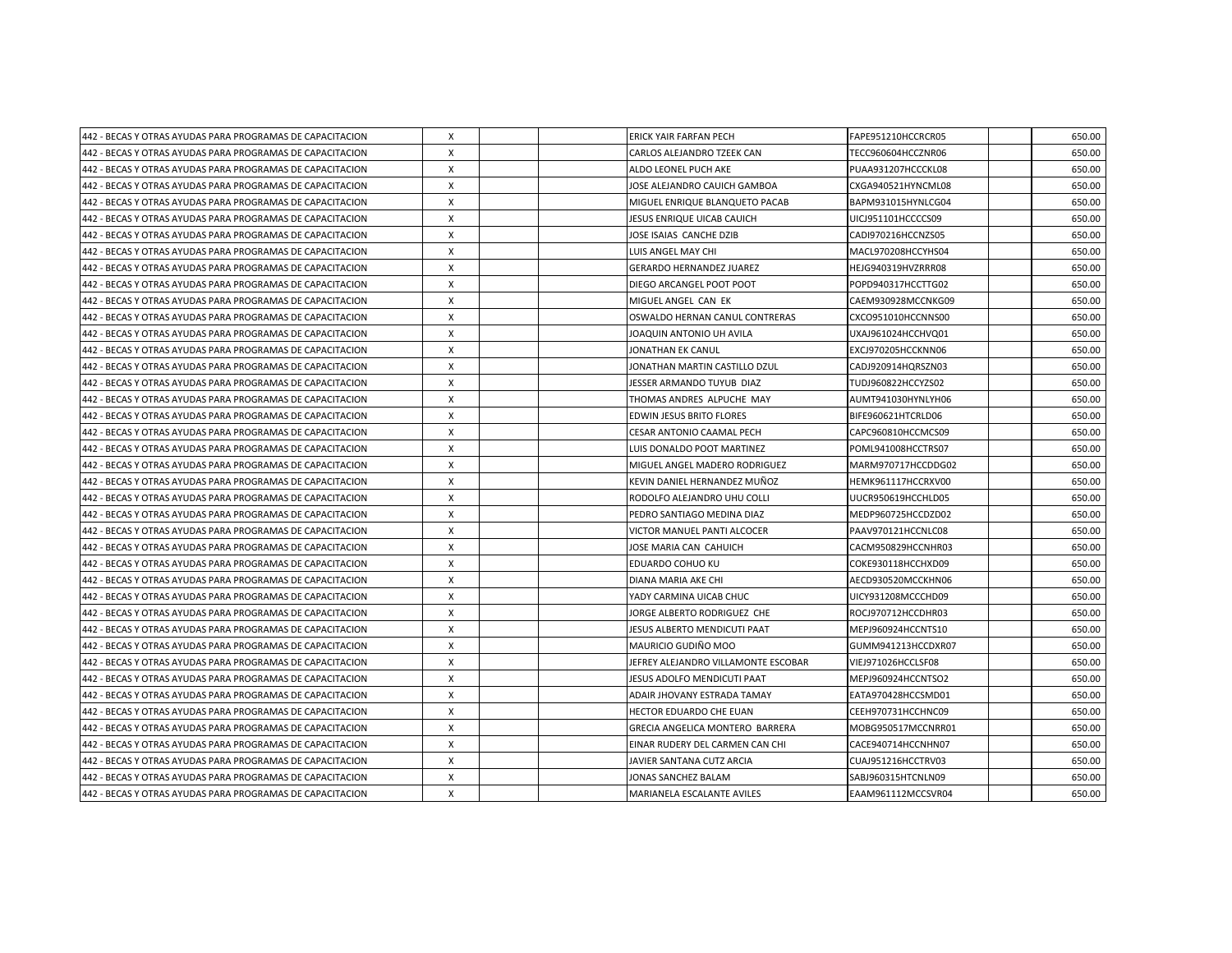| 442 - BECAS Y OTRAS AYUDAS PARA PROGRAMAS DE CAPACITACION | Χ            |  | <b>ERICK YAIR FARFAN PECH</b>       | FAPE951210HCCRCR05 | 650.00 |
|-----------------------------------------------------------|--------------|--|-------------------------------------|--------------------|--------|
| 442 - BECAS Y OTRAS AYUDAS PARA PROGRAMAS DE CAPACITACION | X            |  | CARLOS ALEJANDRO TZEEK CAN          | TECC960604HCCZNR06 | 650.00 |
| 442 - BECAS Y OTRAS AYUDAS PARA PROGRAMAS DE CAPACITACION | X            |  | ALDO LEONEL PUCH AKE                | PUAA931207HCCCKL08 | 650.00 |
| 442 - BECAS Y OTRAS AYUDAS PARA PROGRAMAS DE CAPACITACION | X            |  | JOSE ALEJANDRO CAUICH GAMBOA        | CXGA940521HYNCML08 | 650.00 |
| 442 - BECAS Y OTRAS AYUDAS PARA PROGRAMAS DE CAPACITACION | X            |  | MIGUEL ENRIQUE BLANQUETO PACAB      | BAPM931015HYNLCG04 | 650.00 |
| 442 - BECAS Y OTRAS AYUDAS PARA PROGRAMAS DE CAPACITACION | X            |  | JESUS ENRIQUE UICAB CAUICH          | UICJ951101HCCCCS09 | 650.00 |
| 442 - BECAS Y OTRAS AYUDAS PARA PROGRAMAS DE CAPACITACION | X            |  | JOSE ISAIAS CANCHE DZIB             | CADI970216HCCNZS05 | 650.00 |
| 442 - BECAS Y OTRAS AYUDAS PARA PROGRAMAS DE CAPACITACION | X            |  | LUIS ANGEL MAY CHI                  | MACL970208HCCYHS04 | 650.00 |
| 442 - BECAS Y OTRAS AYUDAS PARA PROGRAMAS DE CAPACITACION | X            |  | <b>GERARDO HERNANDEZ JUAREZ</b>     | HEJG940319HVZRRR08 | 650.00 |
| 442 - BECAS Y OTRAS AYUDAS PARA PROGRAMAS DE CAPACITACION | X            |  | DIEGO ARCANGEL POOT POOT            | POPD940317HCCTTG02 | 650.00 |
| 442 - BECAS Y OTRAS AYUDAS PARA PROGRAMAS DE CAPACITACION | X            |  | MIGUEL ANGEL CAN EK                 | CAEM930928MCCNKG09 | 650.00 |
| 442 - BECAS Y OTRAS AYUDAS PARA PROGRAMAS DE CAPACITACION | X            |  | OSWALDO HERNAN CANUL CONTRERAS      | CXCO951010HCCNNS00 | 650.00 |
| 442 - BECAS Y OTRAS AYUDAS PARA PROGRAMAS DE CAPACITACION | X            |  | JOAQUIN ANTONIO UH AVILA            | UXAJ961024HCCHVQ01 | 650.00 |
| 442 - BECAS Y OTRAS AYUDAS PARA PROGRAMAS DE CAPACITACION | X            |  | JONATHAN EK CANUL                   | EXCJ970205HCCKNN06 | 650.00 |
| 442 - BECAS Y OTRAS AYUDAS PARA PROGRAMAS DE CAPACITACION | X            |  | JONATHAN MARTIN CASTILLO DZUL       | CADJ920914HQRSZN03 | 650.00 |
| 442 - BECAS Y OTRAS AYUDAS PARA PROGRAMAS DE CAPACITACION | X            |  | JESSER ARMANDO TUYUB DIAZ           | TUDJ960822HCCYZS02 | 650.00 |
| 442 - BECAS Y OTRAS AYUDAS PARA PROGRAMAS DE CAPACITACION | X            |  | THOMAS ANDRES ALPUCHE MAY           | AUMT941030HYNLYH06 | 650.00 |
| 442 - BECAS Y OTRAS AYUDAS PARA PROGRAMAS DE CAPACITACION | X            |  | EDWIN JESUS BRITO FLORES            | BIFE960621HTCRLD06 | 650.00 |
| 442 - BECAS Y OTRAS AYUDAS PARA PROGRAMAS DE CAPACITACION | X            |  | <b>CESAR ANTONIO CAAMAL PECH</b>    | CAPC960810HCCMCS09 | 650.00 |
| 442 - BECAS Y OTRAS AYUDAS PARA PROGRAMAS DE CAPACITACION | X            |  | LUIS DONALDO POOT MARTINEZ          | POML941008HCCTRS07 | 650.00 |
| 442 - BECAS Y OTRAS AYUDAS PARA PROGRAMAS DE CAPACITACION | X            |  | MIGUEL ANGEL MADERO RODRIGUEZ       | MARM970717HCCDDG02 | 650.00 |
| 442 - BECAS Y OTRAS AYUDAS PARA PROGRAMAS DE CAPACITACION | x            |  | KEVIN DANIEL HERNANDEZ MUÑOZ        | HEMK961117HCCRXV00 | 650.00 |
| 442 - BECAS Y OTRAS AYUDAS PARA PROGRAMAS DE CAPACITACION | X            |  | RODOLFO ALEJANDRO UHU COLLI         | UUCR950619HCCHLD05 | 650.00 |
| 442 - BECAS Y OTRAS AYUDAS PARA PROGRAMAS DE CAPACITACION | X            |  | PEDRO SANTIAGO MEDINA DIAZ          | MEDP960725HCCDZD02 | 650.00 |
| 442 - BECAS Y OTRAS AYUDAS PARA PROGRAMAS DE CAPACITACION | X            |  | VICTOR MANUEL PANTI ALCOCER         | PAAV970121HCCNLC08 | 650.00 |
| 442 - BECAS Y OTRAS AYUDAS PARA PROGRAMAS DE CAPACITACION | X            |  | JOSE MARIA CAN CAHUICH              | CACM950829HCCNHR03 | 650.00 |
| 442 - BECAS Y OTRAS AYUDAS PARA PROGRAMAS DE CAPACITACION | X            |  | EDUARDO COHUO KU                    | COKE930118HCCHXD09 | 650.00 |
| 442 - BECAS Y OTRAS AYUDAS PARA PROGRAMAS DE CAPACITACION | X            |  | DIANA MARIA AKE CHI                 | AECD930520MCCKHN06 | 650.00 |
| 442 - BECAS Y OTRAS AYUDAS PARA PROGRAMAS DE CAPACITACION | X            |  | YADY CARMINA UICAB CHUC             | UICY931208MCCCHD09 | 650.00 |
| 442 - BECAS Y OTRAS AYUDAS PARA PROGRAMAS DE CAPACITACION | X            |  | JORGE ALBERTO RODRIGUEZ CHE         | ROCJ970712HCCDHR03 | 650.00 |
| 442 - BECAS Y OTRAS AYUDAS PARA PROGRAMAS DE CAPACITACION | X            |  | JESUS ALBERTO MENDICUTI PAAT        | MEPJ960924HCCNTS10 | 650.00 |
| 442 - BECAS Y OTRAS AYUDAS PARA PROGRAMAS DE CAPACITACION | X            |  | <b>MAURICIO GUDIÑO MOO</b>          | GUMM941213HCCDXR07 | 650.00 |
| 442 - BECAS Y OTRAS AYUDAS PARA PROGRAMAS DE CAPACITACION | X            |  | JEFREY ALEJANDRO VILLAMONTE ESCOBAR | VIEJ971026HCCLSF08 | 650.00 |
| 442 - BECAS Y OTRAS AYUDAS PARA PROGRAMAS DE CAPACITACION | X            |  | JESUS ADOLFO MENDICUTI PAAT         | MEPJ960924HCCNTSO2 | 650.00 |
| 442 - BECAS Y OTRAS AYUDAS PARA PROGRAMAS DE CAPACITACION | Χ            |  | ADAIR JHOVANY ESTRADA TAMAY         | EATA970428HCCSMD01 | 650.00 |
| 442 - BECAS Y OTRAS AYUDAS PARA PROGRAMAS DE CAPACITACION | Χ            |  | HECTOR EDUARDO CHE EUAN             | CEEH970731HCCHNC09 | 650.00 |
| 442 - BECAS Y OTRAS AYUDAS PARA PROGRAMAS DE CAPACITACION | X            |  | GRECIA ANGELICA MONTERO BARRERA     | MOBG950517MCCNRR01 | 650.00 |
| 442 - BECAS Y OTRAS AYUDAS PARA PROGRAMAS DE CAPACITACION | X            |  | EINAR RUDERY DEL CARMEN CAN CHI     | CACE940714HCCNHN07 | 650.00 |
| 442 - BECAS Y OTRAS AYUDAS PARA PROGRAMAS DE CAPACITACION | X            |  | JAVIER SANTANA CUTZ ARCIA           | CUAJ951216HCCTRV03 | 650.00 |
| 442 - BECAS Y OTRAS AYUDAS PARA PROGRAMAS DE CAPACITACION | $\mathsf{x}$ |  | JONAS SANCHEZ BALAM                 | SABJ960315HTCNLN09 | 650.00 |
| 442 - BECAS Y OTRAS AYUDAS PARA PROGRAMAS DE CAPACITACION | $\mathsf{x}$ |  | <b>MARIANELA ESCALANTE AVILES</b>   | EAAM961112MCCSVR04 | 650.00 |